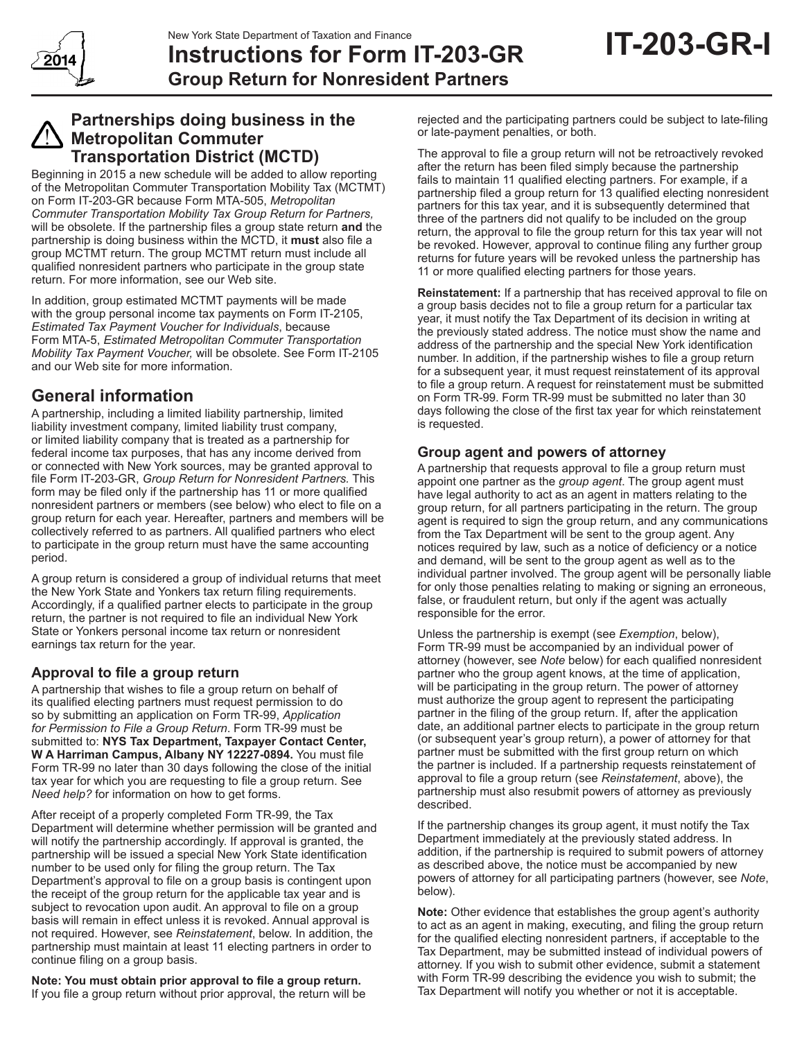

## **Instructions for Form IT-203-GR Group Return for Nonresident Partners**

## **Partnerships doing business in the Metropolitan Commuter Transportation District (MCTD)**

Beginning in 2015 a new schedule will be added to allow reporting of the Metropolitan Commuter Transportation Mobility Tax (MCTMT) on Form IT-203-GR because Form MTA-505, *Metropolitan Commuter Transportation Mobility Tax Group Return for Partners,* will be obsolete. If the partnership files a group state return **and** the partnership is doing business within the MCTD, it **must** also file a group MCTMT return. The group MCTMT return must include all qualified nonresident partners who participate in the group state return. For more information, see our Web site.

In addition, group estimated MCTMT payments will be made with the group personal income tax payments on Form IT-2105, *Estimated Tax Payment Voucher for Individuals*, because Form MTA-5, *Estimated Metropolitan Commuter Transportation Mobility Tax Payment Voucher,* will be obsolete. See Form IT-2105 and our Web site for more information.

## **General information**

A partnership, including a limited liability partnership, limited liability investment company, limited liability trust company, or limited liability company that is treated as a partnership for federal income tax purposes, that has any income derived from or connected with New York sources, may be granted approval to file Form IT-203-GR, *Group Return for Nonresident Partners.* This form may be filed only if the partnership has 11 or more qualified nonresident partners or members (see below) who elect to file on a group return for each year. Hereafter, partners and members will be collectively referred to as partners. All qualified partners who elect to participate in the group return must have the same accounting period.

A group return is considered a group of individual returns that meet the New York State and Yonkers tax return filing requirements. Accordingly, if a qualified partner elects to participate in the group return, the partner is not required to file an individual New York State or Yonkers personal income tax return or nonresident earnings tax return for the year.

## **Approval to file a group return**

A partnership that wishes to file a group return on behalf of its qualified electing partners must request permission to do so by submitting an application on Form TR-99, *Application for Permission to File a Group Return*. Form TR-99 must be submitted to: **NYS Tax Department, Taxpayer Contact Center, W A Harriman Campus, Albany NY 12227-0894.** You must file Form TR-99 no later than 30 days following the close of the initial tax year for which you are requesting to file a group return. See *Need help?* for information on how to get forms.

After receipt of a properly completed Form TR-99, the Tax Department will determine whether permission will be granted and will notify the partnership accordingly. If approval is granted, the partnership will be issued a special New York State identification number to be used only for filing the group return. The Tax Department's approval to file on a group basis is contingent upon the receipt of the group return for the applicable tax year and is subject to revocation upon audit. An approval to file on a group basis will remain in effect unless it is revoked. Annual approval is not required. However, see *Reinstatement*, below. In addition, the partnership must maintain at least 11 electing partners in order to continue filing on a group basis.

**Note: You must obtain prior approval to file a group return.**  If you file a group return without prior approval, the return will be

rejected and the participating partners could be subject to late-filing or late-payment penalties, or both.

The approval to file a group return will not be retroactively revoked after the return has been filed simply because the partnership fails to maintain 11 qualified electing partners. For example, if a partnership filed a group return for 13 qualified electing nonresident partners for this tax year, and it is subsequently determined that three of the partners did not qualify to be included on the group return, the approval to file the group return for this tax year will not be revoked. However, approval to continue filing any further group returns for future years will be revoked unless the partnership has 11 or more qualified electing partners for those years.

**Reinstatement:** If a partnership that has received approval to file on a group basis decides not to file a group return for a particular tax year, it must notify the Tax Department of its decision in writing at the previously stated address. The notice must show the name and address of the partnership and the special New York identification number. In addition, if the partnership wishes to file a group return for a subsequent year, it must request reinstatement of its approval to file a group return. A request for reinstatement must be submitted on Form TR-99. Form TR-99 must be submitted no later than 30 days following the close of the first tax year for which reinstatement is requested.

## **Group agent and powers of attorney**

A partnership that requests approval to file a group return must appoint one partner as the *group agent*. The group agent must have legal authority to act as an agent in matters relating to the group return, for all partners participating in the return. The group agent is required to sign the group return, and any communications from the Tax Department will be sent to the group agent. Any notices required by law, such as a notice of deficiency or a notice and demand, will be sent to the group agent as well as to the individual partner involved. The group agent will be personally liable for only those penalties relating to making or signing an erroneous, false, or fraudulent return, but only if the agent was actually responsible for the error.

Unless the partnership is exempt (see *Exemption*, below), Form TR-99 must be accompanied by an individual power of attorney (however, see *Note* below) for each qualified nonresident partner who the group agent knows, at the time of application, will be participating in the group return. The power of attorney must authorize the group agent to represent the participating partner in the filing of the group return. If, after the application date, an additional partner elects to participate in the group return (or subsequent year's group return), a power of attorney for that partner must be submitted with the first group return on which the partner is included. If a partnership requests reinstatement of approval to file a group return (see *Reinstatement*, above), the partnership must also resubmit powers of attorney as previously described.

If the partnership changes its group agent, it must notify the Tax Department immediately at the previously stated address. In addition, if the partnership is required to submit powers of attorney as described above, the notice must be accompanied by new powers of attorney for all participating partners (however, see *Note*, below).

**Note:** Other evidence that establishes the group agent's authority to act as an agent in making, executing, and filing the group return for the qualified electing nonresident partners, if acceptable to the Tax Department, may be submitted instead of individual powers of attorney. If you wish to submit other evidence, submit a statement with Form TR-99 describing the evidence you wish to submit; the Tax Department will notify you whether or not it is acceptable.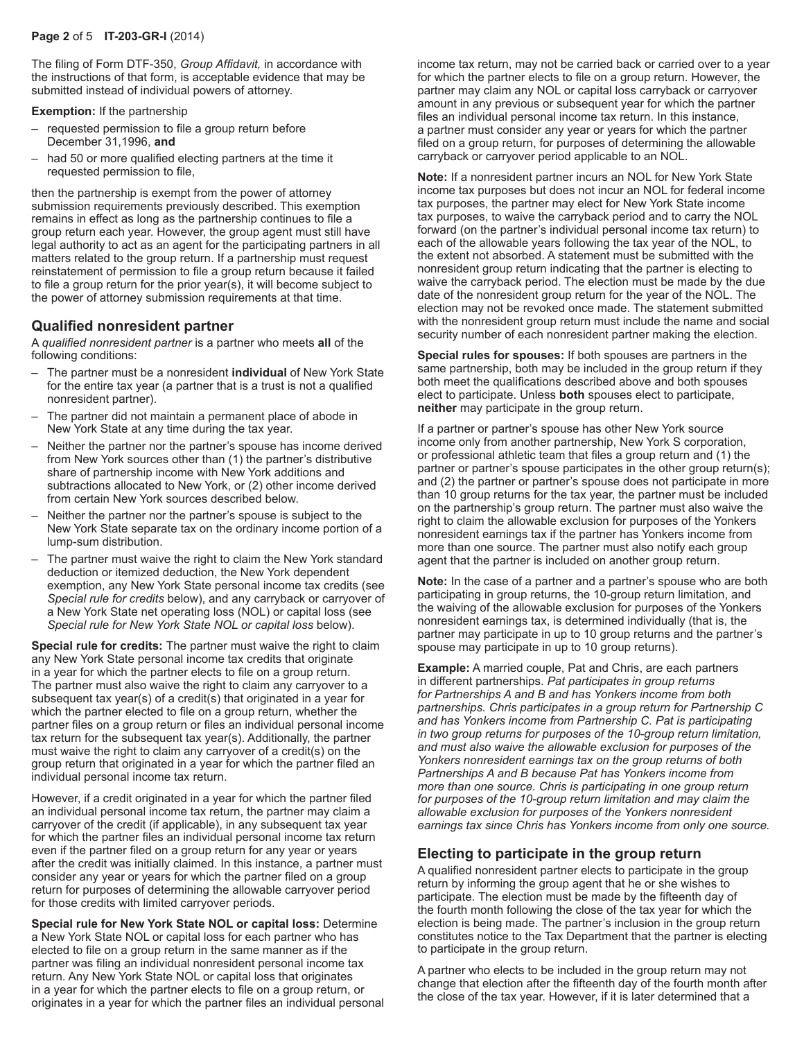The filing of Form DTF-350, *Group Affidavit,* in accordance with the instructions of that form, is acceptable evidence that may be submitted instead of individual powers of attorney.

**Exemption:** If the partnership

- requested permission to file a group return before December 31,1996, **and**
- had 50 or more qualified electing partners at the time it requested permission to file,

then the partnership is exempt from the power of attorney submission requirements previously described. This exemption remains in effect as long as the partnership continues to file a group return each year. However, the group agent must still have legal authority to act as an agent for the participating partners in all matters related to the group return. If a partnership must request reinstatement of permission to file a group return because it failed to file a group return for the prior year(s), it will become subject to the power of attorney submission requirements at that time.

#### **Qualified nonresident partner**

A *qualified nonresident partner* is a partner who meets **all** of the following conditions:

- The partner must be a nonresident **individual** of New York State for the entire tax year (a partner that is a trust is not a qualified nonresident partner).
- The partner did not maintain a permanent place of abode in New York State at any time during the tax year.
- Neither the partner nor the partner's spouse has income derived from New York sources other than (1) the partner's distributive share of partnership income with New York additions and subtractions allocated to New York, or (2) other income derived from certain New York sources described below.
- Neither the partner nor the partner's spouse is subject to the New York State separate tax on the ordinary income portion of a lump-sum distribution.
- The partner must waive the right to claim the New York standard deduction or itemized deduction, the New York dependent exemption, any New York State personal income tax credits (see *Special rule for credits* below), and any carryback or carryover of a New York State net operating loss (NOL) or capital loss (see *Special rule for New York State NOL or capital loss* below).

**Special rule for credits:** The partner must waive the right to claim any New York State personal income tax credits that originate in a year for which the partner elects to file on a group return. The partner must also waive the right to claim any carryover to a subsequent tax year(s) of a credit(s) that originated in a year for which the partner elected to file on a group return, whether the partner files on a group return or files an individual personal income tax return for the subsequent tax year(s). Additionally, the partner must waive the right to claim any carryover of a credit(s) on the group return that originated in a year for which the partner filed an individual personal income tax return.

However, if a credit originated in a year for which the partner filed an individual personal income tax return, the partner may claim a carryover of the credit (if applicable), in any subsequent tax year for which the partner files an individual personal income tax return even if the partner filed on a group return for any year or years after the credit was initially claimed. In this instance, a partner must consider any year or years for which the partner filed on a group return for purposes of determining the allowable carryover period for those credits with limited carryover periods.

**Special rule for New York State NOL or capital loss:** Determine a New York State NOL or capital loss for each partner who has elected to file on a group return in the same manner as if the partner was filing an individual nonresident personal income tax return. Any New York State NOL or capital loss that originates in a year for which the partner elects to file on a group return, or originates in a year for which the partner files an individual personal

income tax return, may not be carried back or carried over to a year for which the partner elects to file on a group return. However, the partner may claim any NOL or capital loss carryback or carryover amount in any previous or subsequent year for which the partner files an individual personal income tax return. In this instance, a partner must consider any year or years for which the partner filed on a group return, for purposes of determining the allowable carryback or carryover period applicable to an NOL.

**Note:** If a nonresident partner incurs an NOL for New York State income tax purposes but does not incur an NOL for federal income tax purposes, the partner may elect for New York State income tax purposes, to waive the carryback period and to carry the NOL forward (on the partner's individual personal income tax return) to each of the allowable years following the tax year of the NOL, to the extent not absorbed. A statement must be submitted with the nonresident group return indicating that the partner is electing to waive the carryback period. The election must be made by the due date of the nonresident group return for the year of the NOL. The election may not be revoked once made. The statement submitted with the nonresident group return must include the name and social security number of each nonresident partner making the election.

**Special rules for spouses:** If both spouses are partners in the same partnership, both may be included in the group return if they both meet the qualifications described above and both spouses elect to participate. Unless **both** spouses elect to participate, **neither** may participate in the group return.

If a partner or partner's spouse has other New York source income only from another partnership, New York S corporation, or professional athletic team that files a group return and (1) the partner or partner's spouse participates in the other group return(s); and (2) the partner or partner's spouse does not participate in more than 10 group returns for the tax year, the partner must be included on the partnership's group return. The partner must also waive the right to claim the allowable exclusion for purposes of the Yonkers nonresident earnings tax if the partner has Yonkers income from more than one source. The partner must also notify each group agent that the partner is included on another group return.

**Note:** In the case of a partner and a partner's spouse who are both participating in group returns, the 10-group return limitation, and the waiving of the allowable exclusion for purposes of the Yonkers nonresident earnings tax, is determined individually (that is, the partner may participate in up to 10 group returns and the partner's spouse may participate in up to 10 group returns).

**Example:** A married couple, Pat and Chris, are each partners in different partnerships. *Pat participates in group returns for Partnerships A and B and has Yonkers income from both partnerships. Chris participates in a group return for Partnership C and has Yonkers income from Partnership C. Pat is participating in two group returns for purposes of the 10‑group return limitation, and must also waive the allowable exclusion for purposes of the Yonkers nonresident earnings tax on the group returns of both Partnerships A and B because Pat has Yonkers income from more than one source. Chris is participating in one group return for purposes of the 10‑group return limitation and may claim the allowable exclusion for purposes of the Yonkers nonresident earnings tax since Chris has Yonkers income from only one source.*

## **Electing to participate in the group return**

A qualified nonresident partner elects to participate in the group return by informing the group agent that he or she wishes to participate. The election must be made by the fifteenth day of the fourth month following the close of the tax year for which the election is being made. The partner's inclusion in the group return constitutes notice to the Tax Department that the partner is electing to participate in the group return.

A partner who elects to be included in the group return may not change that election after the fifteenth day of the fourth month after the close of the tax year. However, if it is later determined that a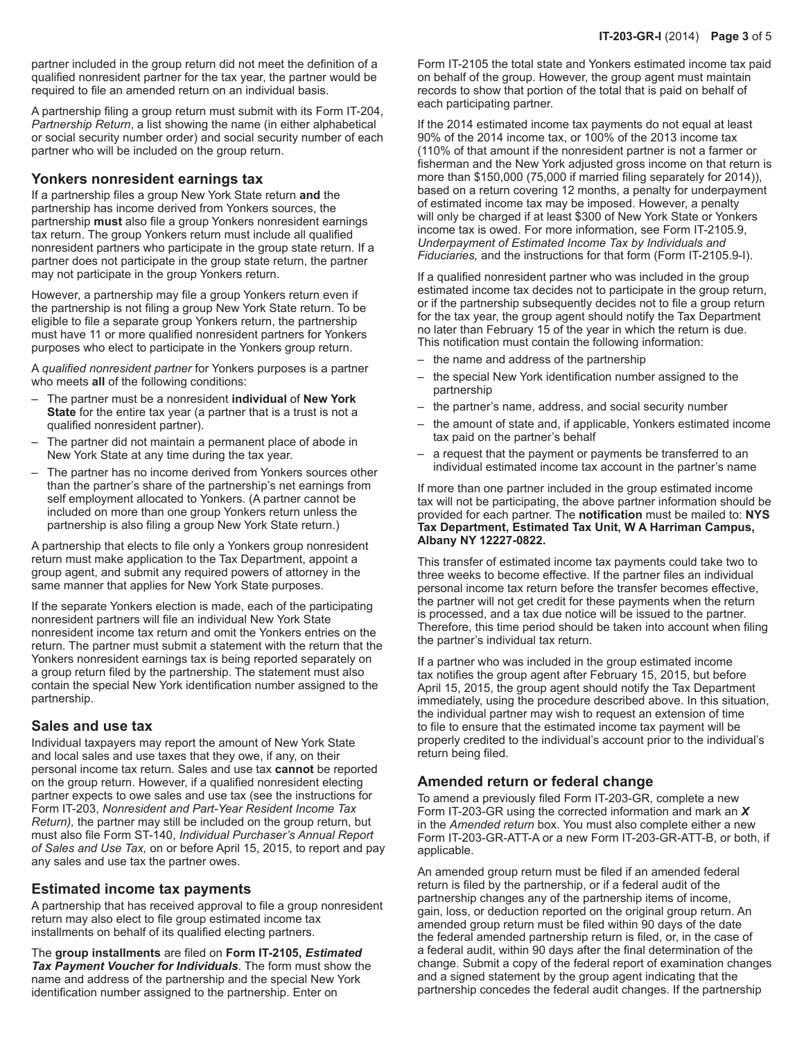partner included in the group return did not meet the definition of a qualified nonresident partner for the tax year, the partner would be required to file an amended return on an individual basis.

A partnership filing a group return must submit with its Form IT-204, *Partnership Return*, a list showing the name (in either alphabetical or social security number order) and social security number of each partner who will be included on the group return.

#### **Yonkers nonresident earnings tax**

If a partnership files a group New York State return **and** the partnership has income derived from Yonkers sources, the partnership **must** also file a group Yonkers nonresident earnings tax return. The group Yonkers return must include all qualified nonresident partners who participate in the group state return. If a partner does not participate in the group state return, the partner may not participate in the group Yonkers return.

However, a partnership may file a group Yonkers return even if the partnership is not filing a group New York State return. To be eligible to file a separate group Yonkers return, the partnership must have 11 or more qualified nonresident partners for Yonkers purposes who elect to participate in the Yonkers group return.

A *qualified nonresident partner* for Yonkers purposes is a partner who meets **all** of the following conditions:

- The partner must be a nonresident **individual** of **New York State** for the entire tax year (a partner that is a trust is not a qualified nonresident partner).
- The partner did not maintain a permanent place of abode in New York State at any time during the tax year.
- The partner has no income derived from Yonkers sources other than the partner's share of the partnership's net earnings from self employment allocated to Yonkers. (A partner cannot be included on more than one group Yonkers return unless the partnership is also filing a group New York State return.)

A partnership that elects to file only a Yonkers group nonresident return must make application to the Tax Department, appoint a group agent, and submit any required powers of attorney in the same manner that applies for New York State purposes.

If the separate Yonkers election is made, each of the participating nonresident partners will file an individual New York State nonresident income tax return and omit the Yonkers entries on the return. The partner must submit a statement with the return that the Yonkers nonresident earnings tax is being reported separately on a group return filed by the partnership. The statement must also contain the special New York identification number assigned to the partnership.

#### **Sales and use tax**

Individual taxpayers may report the amount of New York State and local sales and use taxes that they owe, if any, on their personal income tax return. Sales and use tax **cannot** be reported on the group return. However, if a qualified nonresident electing partner expects to owe sales and use tax (see the instructions for Form IT-203, *Nonresident and Part-Year Resident Income Tax Return),* the partner may still be included on the group return, but must also file Form ST-140, *Individual Purchaser's Annual Report of Sales and Use Tax,* on or before April 15, 2015, to report and pay any sales and use tax the partner owes.

#### **Estimated income tax payments**

A partnership that has received approval to file a group nonresident return may also elect to file group estimated income tax installments on behalf of its qualified electing partners.

The **group installments** are filed on **Form IT-2105,** *Estimated Tax Payment Voucher for Individuals*. The form must show the name and address of the partnership and the special New York identification number assigned to the partnership. Enter on

Form IT-2105 the total state and Yonkers estimated income tax paid on behalf of the group. However, the group agent must maintain records to show that portion of the total that is paid on behalf of each participating partner.

If the 2014 estimated income tax payments do not equal at least 90% of the 2014 income tax, or 100% of the 2013 income tax (110% of that amount if the nonresident partner is not a farmer or fisherman and the New York adjusted gross income on that return is more than \$150,000 (75,000 if married filing separately for 2014)), based on a return covering 12 months, a penalty for underpayment of estimated income tax may be imposed. However, a penalty will only be charged if at least \$300 of New York State or Yonkers income tax is owed. For more information, see Form IT-2105.9, *Underpayment of Estimated Income Tax by Individuals and Fiduciaries,* and the instructions for that form (Form IT-2105.9-I).

If a qualified nonresident partner who was included in the group estimated income tax decides not to participate in the group return, or if the partnership subsequently decides not to file a group return for the tax year, the group agent should notify the Tax Department no later than February 15 of the year in which the return is due. This notification must contain the following information:

- the name and address of the partnership
- the special New York identification number assigned to the partnership
- the partner's name, address, and social security number
- the amount of state and, if applicable, Yonkers estimated income tax paid on the partner's behalf
- a request that the payment or payments be transferred to an individual estimated income tax account in the partner's name

If more than one partner included in the group estimated income tax will not be participating, the above partner information should be provided for each partner. The **notification** must be mailed to: **NYS Tax Department, Estimated Tax Unit, W A Harriman Campus, Albany NY 12227-0822.**

This transfer of estimated income tax payments could take two to three weeks to become effective. If the partner files an individual personal income tax return before the transfer becomes effective, the partner will not get credit for these payments when the return is processed, and a tax due notice will be issued to the partner. Therefore, this time period should be taken into account when filing the partner's individual tax return.

If a partner who was included in the group estimated income tax notifies the group agent after February 15, 2015, but before April 15, 2015, the group agent should notify the Tax Department immediately, using the procedure described above. In this situation, the individual partner may wish to request an extension of time to file to ensure that the estimated income tax payment will be properly credited to the individual's account prior to the individual's return being filed.

#### **Amended return or federal change**

To amend a previously filed Form IT-203-GR, complete a new Form IT-203-GR using the corrected information and mark an *X*  in the *Amended return* box. You must also complete either a new Form IT-203-GR-ATT-A or a new Form IT-203-GR-ATT-B, or both, if applicable.

An amended group return must be filed if an amended federal return is filed by the partnership, or if a federal audit of the partnership changes any of the partnership items of income, gain, loss, or deduction reported on the original group return. An amended group return must be filed within 90 days of the date the federal amended partnership return is filed, or, in the case of a federal audit, within 90 days after the final determination of the change. Submit a copy of the federal report of examination changes and a signed statement by the group agent indicating that the partnership concedes the federal audit changes. If the partnership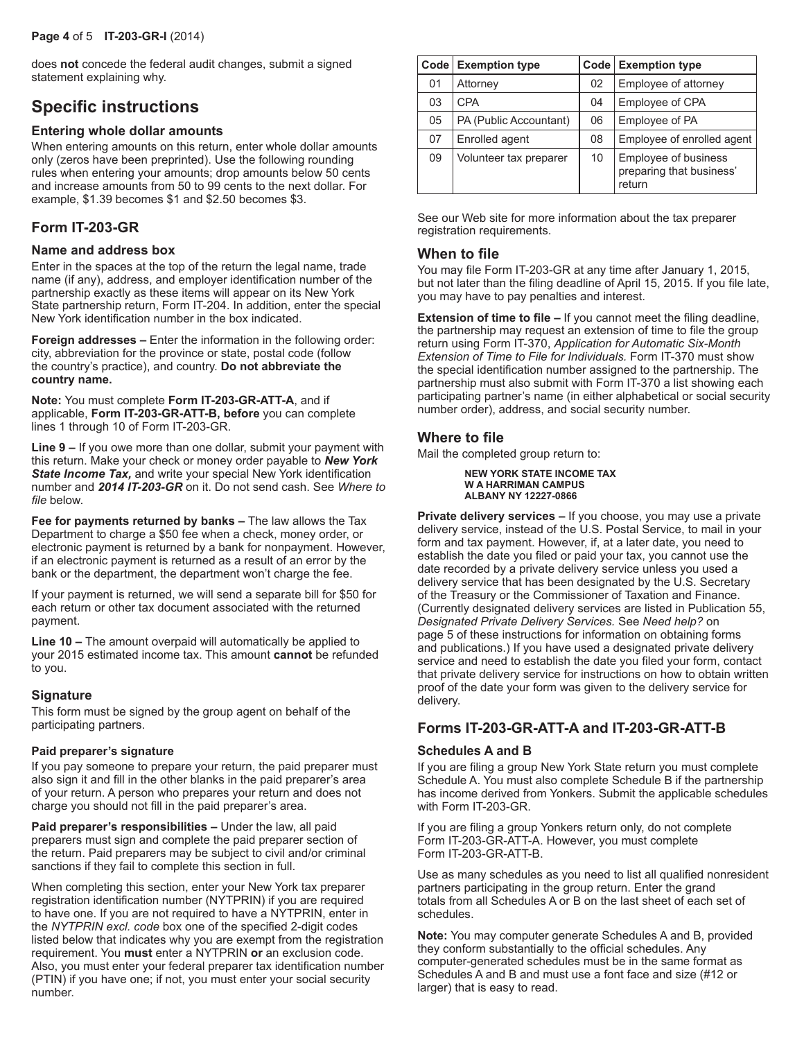does **not** concede the federal audit changes, submit a signed statement explaining why.

## **Specific instructions**

#### **Entering whole dollar amounts**

When entering amounts on this return, enter whole dollar amounts only (zeros have been preprinted). Use the following rounding rules when entering your amounts; drop amounts below 50 cents and increase amounts from 50 to 99 cents to the next dollar. For example, \$1.39 becomes \$1 and \$2.50 becomes \$3.

## **Form IT-203-GR**

#### **Name and address box**

Enter in the spaces at the top of the return the legal name, trade name (if any), address, and employer identification number of the partnership exactly as these items will appear on its New York State partnership return, Form IT-204. In addition, enter the special New York identification number in the box indicated.

**Foreign addresses –** Enter the information in the following order: city, abbreviation for the province or state, postal code (follow the country's practice), and country. **Do not abbreviate the country name.**

**Note:** You must complete **Form IT-203-GR-ATT-A**, and if applicable, **Form IT-203-GR-ATT-B, before** you can complete lines 1 through 10 of Form IT-203-GR.

**Line 9 –** If you owe more than one dollar, submit your payment with this return. Make your check or money order payable to *New York State Income Tax,* and write your special New York identification number and *2014 IT-203-GR* on it. Do not send cash. See *Where to file* below.

**Fee for payments returned by banks –** The law allows the Tax Department to charge a \$50 fee when a check, money order, or electronic payment is returned by a bank for nonpayment. However, if an electronic payment is returned as a result of an error by the bank or the department, the department won't charge the fee.

If your payment is returned, we will send a separate bill for \$50 for each return or other tax document associated with the returned payment.

**Line 10 –** The amount overpaid will automatically be applied to your 2015 estimated income tax. This amount **cannot** be refunded to you.

#### **Signature**

This form must be signed by the group agent on behalf of the participating partners.

#### **Paid preparer's signature**

If you pay someone to prepare your return, the paid preparer must also sign it and fill in the other blanks in the paid preparer's area of your return. A person who prepares your return and does not charge you should not fill in the paid preparer's area.

**Paid preparer's responsibilities –** Under the law, all paid preparers must sign and complete the paid preparer section of the return. Paid preparers may be subject to civil and/or criminal sanctions if they fail to complete this section in full.

When completing this section, enter your New York tax preparer registration identification number (NYTPRIN) if you are required to have one. If you are not required to have a NYTPRIN, enter in the *NYTPRIN excl. code* box one of the specified 2-digit codes listed below that indicates why you are exempt from the registration requirement. You **must** enter a NYTPRIN **or** an exclusion code. Also, you must enter your federal preparer tax identification number (PTIN) if you have one; if not, you must enter your social security number.

|    | Code Exemption type    |    | Code   Exemption type                                      |
|----|------------------------|----|------------------------------------------------------------|
| 01 | Attorney               | 02 | Employee of attorney                                       |
| 03 | <b>CPA</b>             | 04 | Employee of CPA                                            |
| 05 | PA (Public Accountant) | 06 | Employee of PA                                             |
| 07 | Enrolled agent         | 08 | Employee of enrolled agent                                 |
| 09 | Volunteer tax preparer | 10 | Employee of business<br>preparing that business'<br>return |

See our Web site for more information about the tax preparer registration requirements.

#### **When to file**

You may file Form IT-203-GR at any time after January 1, 2015, but not later than the filing deadline of April 15, 2015. If you file late, you may have to pay penalties and interest.

**Extension of time to file –** If you cannot meet the filing deadline, the partnership may request an extension of time to file the group return using Form IT-370, *Application for Automatic Six‑Month Extension of Time to File for Individuals.* Form IT-370 must show the special identification number assigned to the partnership. The partnership must also submit with Form IT-370 a list showing each participating partner's name (in either alphabetical or social security number order), address, and social security number.

#### **Where to file**

Mail the completed group return to:

```
NEW YORK STATE INCOME TAX
W A HARRIMAN CAMPUS
ALBANY NY 12227-0866
```
**Private delivery services –** If you choose, you may use a private delivery service, instead of the U.S. Postal Service, to mail in your form and tax payment. However, if, at a later date, you need to establish the date you filed or paid your tax, you cannot use the date recorded by a private delivery service unless you used a delivery service that has been designated by the U.S. Secretary of the Treasury or the Commissioner of Taxation and Finance. (Currently designated delivery services are listed in Publication 55, *Designated Private Delivery Services.* See *Need help?* on page 5 of these instructions for information on obtaining forms and publications.) If you have used a designated private delivery service and need to establish the date you filed your form, contact that private delivery service for instructions on how to obtain written proof of the date your form was given to the delivery service for delivery.

## **Forms IT-203-GR-ATT-A and IT-203-GR-ATT-B**

#### **Schedules A and B**

If you are filing a group New York State return you must complete Schedule A. You must also complete Schedule B if the partnership has income derived from Yonkers. Submit the applicable schedules with Form IT-203-GR.

If you are filing a group Yonkers return only, do not complete Form IT-203-GR-ATT-A. However, you must complete Form IT-203-GR-ATT-B.

Use as many schedules as you need to list all qualified nonresident partners participating in the group return. Enter the grand totals from all Schedules A or B on the last sheet of each set of schedules.

**Note:** You may computer generate Schedules A and B, provided they conform substantially to the official schedules. Any computer-generated schedules must be in the same format as Schedules A and B and must use a font face and size (#12 or larger) that is easy to read.